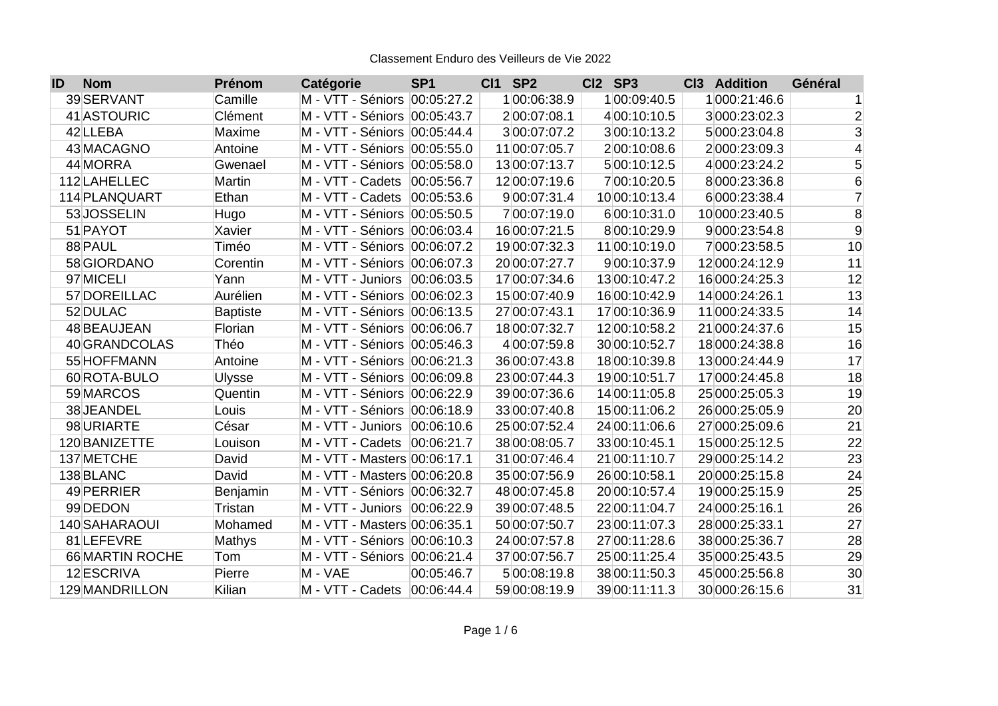| ID | <b>Nom</b>      | Prénom          | Catégorie                      | <b>SP1</b> | <b>CI1 SP2</b> | Cl2 SP3       | <b>Addition</b><br>C <sub>13</sub> | Général        |
|----|-----------------|-----------------|--------------------------------|------------|----------------|---------------|------------------------------------|----------------|
|    | 39 SERVANT      | Camille         | M - VTT - Séniors 00:05:27.2   |            | 100:06:38.9    | 100:09:40.5   | 1000:21:46.6                       | 1              |
|    | 41 ASTOURIC     | Clément         | M - VTT - Séniors 00:05:43.7   |            | 200:07:08.1    | 4 00:10:10.5  | 3 000:23:02.3                      | $\overline{c}$ |
|    | 42 LLEBA        | Maxime          | M - VTT - Séniors 00:05:44.4   |            | 300:07:07.2    | 300:10:13.2   | 5 000:23:04.8                      | 3              |
|    | 43 MACAGNO      | Antoine         | M - VTT - Séniors 00:05:55.0   |            | 11 00:07:05.7  | 200:10:08.6   | 2 000:23:09.3                      | 4              |
|    | 44 MORRA        | Gwenael         | M - VTT - Séniors  00:05:58.0  |            | 13 00:07:13.7  | 500:10:12.5   | 4 000:23:24.2                      | 5              |
|    | 112 LAHELLEC    | Martin          | M - VTT - Cadets               | 00:05:56.7 | 12 00:07:19.6  | 700:10:20.5   | 8 000:23:36.8                      | 6              |
|    | 114 PLANQUART   | Ethan           | M - VTT - Cadets               | 00:05:53.6 | 900:07:31.4    | 10 00:10:13.4 | 6 000:23:38.4                      | $\overline{7}$ |
|    | 53JOSSELIN      | Hugo            | M - VTT - Séniors 00:05:50.5   |            | 700:07:19.0    | 600:10:31.0   | 10 000:23:40.5                     | 8              |
|    | 51 PAYOT        | Xavier          | M - VTT - Séniors 00:06:03.4   |            | 16 00:07:21.5  | 8 00:10:29.9  | 9 000:23:54.8                      | 9              |
|    | 88 PAUL         | Timéo           | M - VTT - Séniors 00:06:07.2   |            | 19 00:07:32.3  | 11 00:10:19.0 | 7000:23:58.5                       | 10             |
|    | 58 GIORDANO     | Corentin        | M - VTT - Séniors  00:06:07.3  |            | 20 00:07:27.7  | 9 00:10:37.9  | 12 000:24:12.9                     | 11             |
|    | 97 MICELI       | Yann            | M - VTT - Juniors 00:06:03.5   |            | 17 00:07:34.6  | 13 00:10:47.2 | 16 000:24:25.3                     | 12             |
|    | 57 DOREILLAC    | Aurélien        | M - VTT - Séniors   00:06:02.3 |            | 15 00:07:40.9  | 16 00:10:42.9 | 14 000:24:26.1                     | 13             |
|    | 52 DULAC        | <b>Baptiste</b> | M - VTT - Séniors 00:06:13.5   |            | 27 00:07:43.1  | 17 00:10:36.9 | 11 000:24:33.5                     | 14             |
|    | 48 BEAUJEAN     | Florian         | M - VTT - Séniors 00:06:06.7   |            | 18 00:07:32.7  | 12 00:10:58.2 | 21 000:24:37.6                     | 15             |
|    | 40 GRANDCOLAS   | Théo            | M - VTT - Séniors 00:05:46.3   |            | 4 00:07:59.8   | 30 00:10:52.7 | 18 000:24:38.8                     | 16             |
|    | 55 HOFFMANN     | Antoine         | M - VTT - Séniors   00:06:21.3 |            | 36 00:07:43.8  | 18 00:10:39.8 | 13 000:24:44.9                     | 17             |
|    | 60 ROTA-BULO    | <b>Ulysse</b>   | M - VTT - Séniors 00:06:09.8   |            | 23 00:07:44.3  | 19 00:10:51.7 | 17 000:24:45.8                     | 18             |
|    | 59 MARCOS       | Quentin         | M - VTT - Séniors 00:06:22.9   |            | 39 00:07:36.6  | 14 00:11:05.8 | 25 000:25:05.3                     | 19             |
|    | 38JEANDEL       | Louis           | M - VTT - Séniors 00:06:18.9   |            | 33 00:07:40.8  | 15 00:11:06.2 | 26 000:25:05.9                     | 20             |
|    | 98 URIARTE      | César           | M - VTT - Juniors 00:06:10.6   |            | 25 00:07:52.4  | 24 00:11:06.6 | 27 000:25:09.6                     | 21             |
|    | 120 BANIZETTE   | Louison         | M - VTT - Cadets               | 00:06:21.7 | 38 00:08:05.7  | 33 00:10:45.1 | 15 000:25:12.5                     | 22             |
|    | 137 METCHE      | David           | M - VTT - Masters 00:06:17.1   |            | 31 00:07:46.4  | 21 00:11:10.7 | 29 000:25:14.2                     | 23             |
|    | 138 BLANC       | David           | M - VTT - Masters 00:06:20.8   |            | 35 00:07:56.9  | 26 00:10:58.1 | 20 000:25:15.8                     | 24             |
|    | 49 PERRIER      | <b>Benjamin</b> | M - VTT - Séniors 00:06:32.7   |            | 48 00:07:45.8  | 20 00:10:57.4 | 19 000:25:15.9                     | 25             |
|    | 99 DEDON        | Tristan         | M - VTT - Juniors 00:06:22.9   |            | 39 00:07:48.5  | 22 00:11:04.7 | 24 000:25:16.1                     | 26             |
|    | 140 SAHARAOUI   | Mohamed         | M - VTT - Masters 00:06:35.1   |            | 50 00:07:50.7  | 23 00:11:07.3 | 28 000:25:33.1                     | 27             |
|    | 81 LEFEVRE      | Mathys          | M - VTT - Séniors 00:06:10.3   |            | 24 00:07:57.8  | 27 00:11:28.6 | 38 000:25:36.7                     | 28             |
|    | 66 MARTIN ROCHE | Tom             | M - VTT - Séniors 00:06:21.4   |            | 37 00:07:56.7  | 25 00:11:25.4 | 35 000:25:43.5                     | 29             |
|    | 12 ESCRIVA      | Pierre          | M - VAE                        | 00:05:46.7 | 500:08:19.8    | 38 00:11:50.3 | 45 000:25:56.8                     | 30             |
|    | 129 MANDRILLON  | Kilian          | M - VTT - Cadets 00:06:44.4    |            | 59 00:08:19.9  | 39 00:11:11.3 | 30 000:26:15.6                     | 31             |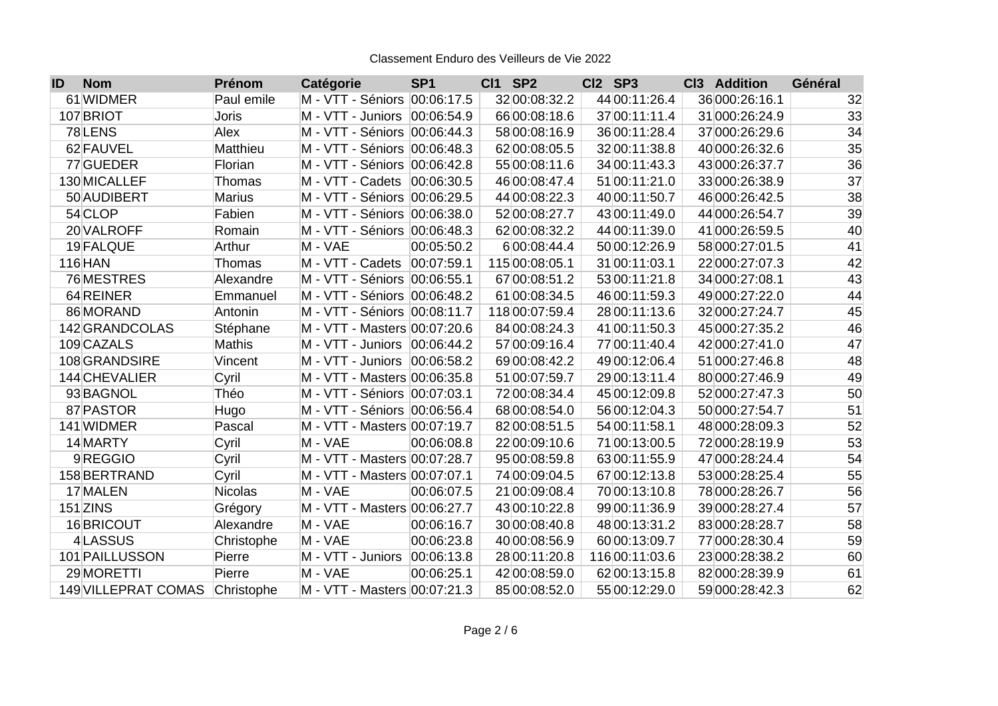| <b>Nom</b><br>ID    | Prénom         | Catégorie                      | <b>SP1</b> | <b>CI1 SP2</b> | Cl2 SP3        | C <sub>13</sub><br><b>Addition</b> | Général |
|---------------------|----------------|--------------------------------|------------|----------------|----------------|------------------------------------|---------|
| 61 WIDMER           | Paul emile     | M - VTT - Séniors 00:06:17.5   |            | 32 00:08:32.2  | 44 00:11:26.4  | 36 000:26:16.1                     | 32      |
| 107 BRIOT           | <b>Joris</b>   | M - VTT - Juniors              | 00:06:54.9 | 66 00:08:18.6  | 37 00:11:11.4  | 31 000:26:24.9                     | 33      |
| 78LENS              | Alex           | M - VTT - Séniors  00:06:44.3  |            | 58 00:08:16.9  | 36 00:11:28.4  | 37 000:26:29.6                     | 34      |
| 62 FAUVEL           | Matthieu       | M - VTT - Séniors 00:06:48.3   |            | 62 00:08:05.5  | 32 00:11:38.8  | 40 000:26:32.6                     | 35      |
| 77 GUEDER           | Florian        | M - VTT - Séniors 00:06:42.8   |            | 55 00:08:11.6  | 34 00:11:43.3  | 43 000:26:37.7                     | 36      |
| 130 MICALLEF        | Thomas         | M - VTT - Cadets               | 00:06:30.5 | 46 00:08:47.4  | 51 00:11:21.0  | 33 000:26:38.9                     | 37      |
| 50 AUDIBERT         | <b>Marius</b>  | M - VTT - Séniors 00:06:29.5   |            | 44 00:08:22.3  | 40 00:11:50.7  | 46 000:26:42.5                     | 38      |
| 54 CLOP             | Fabien         | M - VTT - Séniors 00:06:38.0   |            | 52 00:08:27.7  | 43 00:11:49.0  | 44 000:26:54.7                     | 39      |
| 20 VALROFF          | Romain         | M - VTT - Séniors 00:06:48.3   |            | 62 00:08:32.2  | 44 00:11:39.0  | 41 000:26:59.5                     | 40      |
| 19 FALQUE           | Arthur         | M - VAE                        | 00:05:50.2 | 6 00:08:44.4   | 50 00:12:26.9  | 58 000:27:01.5                     | 41      |
| $116$ HAN           | Thomas         | M - VTT - Cadets               | 00:07:59.1 | 115 00:08:05.1 | 31 00:11:03.1  | 22 000:27:07.3                     | 42      |
| 76 MESTRES          | Alexandre      | M - VTT - Séniors 00:06:55.1   |            | 67 00:08:51.2  | 53 00:11:21.8  | 34 000:27:08.1                     | 43      |
| 64 REINER           | Emmanuel       | M - VTT - Séniors   00:06:48.2 |            | 61 00:08:34.5  | 46 00:11:59.3  | 49 000:27:22.0                     | 44      |
| 86 MORAND           | Antonin        | M - VTT - Séniors   00:08:11.7 |            | 118 00:07:59.4 | 28 00:11:13.6  | 32 000:27:24.7                     | 45      |
| 142 GRANDCOLAS      | Stéphane       | M - VTT - Masters 00:07:20.6   |            | 84 00:08:24.3  | 41 00:11:50.3  | 45 000:27:35.2                     | 46      |
| 109 CAZALS          | Mathis         | M - VTT - Juniors              | 00:06:44.2 | 57 00:09:16.4  | 77 00:11:40.4  | 42 000:27:41.0                     | 47      |
| 108 GRANDSIRE       | Vincent        | M - VTT - Juniors              | 00:06:58.2 | 69 00:08:42.2  | 49 00:12:06.4  | 51 000:27:46.8                     | 48      |
| 144 CHEVALIER       | Cyril          | M - VTT - Masters 00:06:35.8   |            | 51 00:07:59.7  | 29 00:13:11.4  | 80 000:27:46.9                     | 49      |
| 93 BAGNOL           | Théo           | M - VTT - Séniors 00:07:03.1   |            | 72 00:08:34.4  | 45 00:12:09.8  | 52 000:27:47.3                     | 50      |
| 87 PASTOR           | Hugo           | M - VTT - Séniors   00:06:56.4 |            | 68 00:08:54.0  | 56 00:12:04.3  | 50 000:27:54.7                     | 51      |
| 141 WIDMER          | Pascal         | M - VTT - Masters 00:07:19.7   |            | 82 00:08:51.5  | 54 00:11:58.1  | 48 000:28:09.3                     | 52      |
| 14 MARTY            | Cyril          | M - VAE                        | 00:06:08.8 | 22 00:09:10.6  | 71 00:13:00.5  | 72 000:28:19.9                     | 53      |
| 9REGGIO             | Cyril          | M - VTT - Masters 00:07:28.7   |            | 95 00:08:59.8  | 63 00:11:55.9  | 47 000:28:24.4                     | 54      |
| 158 BERTRAND        | Cyril          | M - VTT - Masters 00:07:07.1   |            | 74 00:09:04.5  | 67 00:12:13.8  | 53 000:28:25.4                     | 55      |
| 17 MALEN            | <b>Nicolas</b> | M - VAE                        | 00:06:07.5 | 21 00:09:08.4  | 70 00:13:10.8  | 78 000:28:26.7                     | 56      |
| 151 ZINS            | Grégory        | M - VTT - Masters 00:06:27.7   |            | 43 00:10:22.8  | 99 00:11:36.9  | 39 000:28:27.4                     | 57      |
| 16BRICOUT           | Alexandre      | M - VAE                        | 00:06:16.7 | 30 00:08:40.8  | 48 00:13:31.2  | 83 000:28:28.7                     | 58      |
| 4LASSUS             | Christophe     | M - VAE                        | 00:06:23.8 | 40 00:08:56.9  | 60 00:13:09.7  | 77 000:28:30.4                     | 59      |
| 101 PAILLUSSON      | Pierre         | M - VTT - Juniors              | 00:06:13.8 | 28 00:11:20.8  | 116 00:11:03.6 | 23 000:28:38.2                     | 60      |
| 29 MORETTI          | Pierre         | M - VAE                        | 00:06:25.1 | 42 00:08:59.0  | 62 00:13:15.8  | 82 000:28:39.9                     | 61      |
| 149 VILLEPRAT COMAS | Christophe     | M - VTT - Masters 00:07:21.3   |            | 85 00:08:52.0  | 55 00:12:29.0  | 59 000:28:42.3                     | 62      |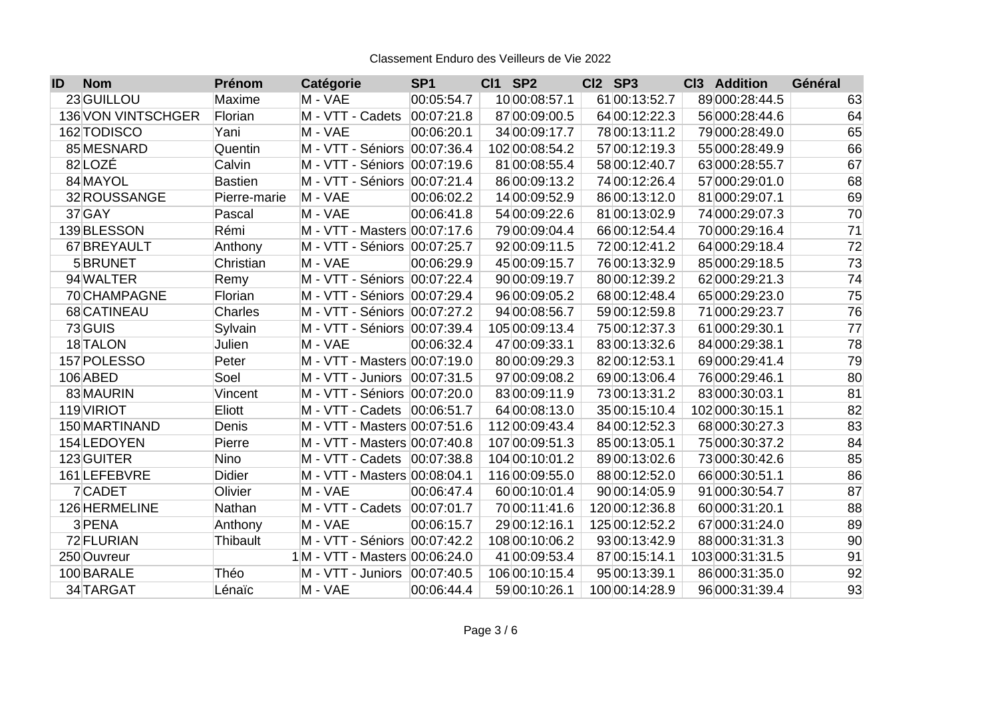| <b>Nom</b><br>ID   | Prénom         | Catégorie                      | <b>SP1</b> | <b>CI1 SP2</b> | Cl2 SP3        | <b>Addition</b><br>C <sub>13</sub> | Général         |
|--------------------|----------------|--------------------------------|------------|----------------|----------------|------------------------------------|-----------------|
| 23 GUILLOU         | Maxime         | M - VAE                        | 00:05:54.7 | 10 00:08:57.1  | 61 00:13:52.7  | 89 000:28:44.5                     | 63              |
| 136 VON VINTSCHGER | Florian        | M - VTT - Cadets               | 00:07:21.8 | 87 00:09:00.5  | 64 00:12:22.3  | 56 000:28:44.6                     | 64              |
| 162 TODISCO        | Yani           | M - VAE                        | 00:06:20.1 | 34 00:09:17.7  | 78 00:13:11.2  | 79 000:28:49.0                     | 65              |
| 85 MESNARD         | Quentin        | M - VTT - Séniors              | 00:07:36.4 | 102 00:08:54.2 | 57 00:12:19.3  | 55 000:28:49.9                     | 66              |
| 82LOZÉ             | Calvin         | M - VTT - Séniors 00:07:19.6   |            | 81 00:08:55.4  | 58 00:12:40.7  | 63 000:28:55.7                     | 67              |
| 84 MAYOL           | <b>Bastien</b> | M - VTT - Séniors 00:07:21.4   |            | 86 00:09:13.2  | 74 00:12:26.4  | 57 000:29:01.0                     | 68              |
| 32 ROUSSANGE       | Pierre-marie   | M - VAE                        | 00:06:02.2 | 14 00:09:52.9  | 86 00:13:12.0  | 81 000:29:07.1                     | 69              |
| $37$ GAY           | Pascal         | M - VAE                        | 00:06:41.8 | 54 00:09:22.6  | 81 00:13:02.9  | 74 000:29:07.3                     | 70              |
| 139 BLESSON        | Rémi           | M - VTT - Masters 00:07:17.6   |            | 79 00:09:04.4  | 66 00:12:54.4  | 70 000:29:16.4                     | 71              |
| 67 BREYAULT        | Anthony        | M - VTT - Séniors 00:07:25.7   |            | 92 00:09:11.5  | 72 00:12:41.2  | 64 000:29:18.4                     | $\overline{72}$ |
| 5BRUNET            | Christian      | M - VAE                        | 00:06:29.9 | 45 00:09:15.7  | 76 00:13:32.9  | 85 000:29:18.5                     | 73              |
| 94 WALTER          | Remy           | M - VTT - Séniors 00:07:22.4   |            | 90 00:09:19.7  | 80 00:12:39.2  | 62 000:29:21.3                     | 74              |
| 70 CHAMPAGNE       | Florian        | M - VTT - Séniors 00:07:29.4   |            | 96 00:09:05.2  | 68 00:12:48.4  | 65 000:29:23.0                     | 75              |
| 68 CATINEAU        | <b>Charles</b> | M - VTT - Séniors   00:07:27.2 |            | 94 00:08:56.7  | 59 00:12:59.8  | 71 000:29:23.7                     | 76              |
| 73 GUIS            | Sylvain        | M - VTT - Séniors 00:07:39.4   |            | 105 00:09:13.4 | 75 00:12:37.3  | 61 000:29:30.1                     | $\overline{77}$ |
| 18 TALON           | Julien         | M - VAE                        | 00:06:32.4 | 47 00:09:33.1  | 83 00:13:32.6  | 84 000:29:38.1                     | 78              |
| 157 POLESSO        | Peter          | M - VTT - Masters 00:07:19.0   |            | 80 00:09:29.3  | 82 00:12:53.1  | 69 000:29:41.4                     | 79              |
| 106 ABED           | Soel           | M - VTT - Juniors              | 00:07:31.5 | 97 00:09:08.2  | 69 00:13:06.4  | 76 000:29:46.1                     | 80              |
| 83 MAURIN          | Vincent        | M - VTT - Séniors   00:07:20.0 |            | 83 00:09:11.9  | 73 00:13:31.2  | 83 000:30:03.1                     | 81              |
| 119 VIRIOT         | Eliott         | M - VTT - Cadets               | 00:06:51.7 | 64 00:08:13.0  | 35 00:15:10.4  | 102 000:30:15.1                    | 82              |
| 150 MARTINAND      | Denis          | M - VTT - Masters 00:07:51.6   |            | 112 00:09:43.4 | 84 00:12:52.3  | 68 000:30:27.3                     | 83              |
| 154 LEDOYEN        | Pierre         | M - VTT - Masters 00:07:40.8   |            | 107 00:09:51.3 | 85 00:13:05.1  | 75 000:30:37.2                     | 84              |
| 123 GUITER         | Nino           | M - VTT - Cadets               | 00:07:38.8 | 104 00:10:01.2 | 89 00:13:02.6  | 73 000:30:42.6                     | 85              |
| 161 LEFEBVRE       | <b>Didier</b>  | M - VTT - Masters 00:08:04.1   |            | 116 00:09:55.0 | 88 00:12:52.0  | 66 000:30:51.1                     | 86              |
| 7CADET             | Olivier        | M - VAE                        | 00:06:47.4 | 60 00:10:01.4  | 90 00:14:05.9  | 91 000:30:54.7                     | 87              |
| 126 HERMELINE      | Nathan         | M - VTT - Cadets               | 00:07:01.7 | 70 00:11:41.6  | 120 00:12:36.8 | 60 000:31:20.1                     | 88              |
| 3 PENA             | Anthony        | M - VAE                        | 00:06:15.7 | 29 00:12:16.1  | 125 00:12:52.2 | 67 000:31:24.0                     | 89              |
| 72 FLURIAN         | Thibault       | M - VTT - Séniors              | 00:07:42.2 | 108 00:10:06.2 | 93 00:13:42.9  | 88 000:31:31.3                     | 90              |
| 250 Ouvreur        |                | 1M - VTT - Masters 00:06:24.0  |            | 41 00:09:53.4  | 87 00:15:14.1  | 103 000:31:31.5                    | 91              |
| 100 BARALE         | Théo           | M - VTT - Juniors              | 00:07:40.5 | 106 00:10:15.4 | 95 00:13:39.1  | 86 000:31:35.0                     | 92              |
| 34 TARGAT          | Lénaïc         | M - VAE                        | 00:06:44.4 | 59 00:10:26.1  | 100 00:14:28.9 | 96 000:31:39.4                     | 93              |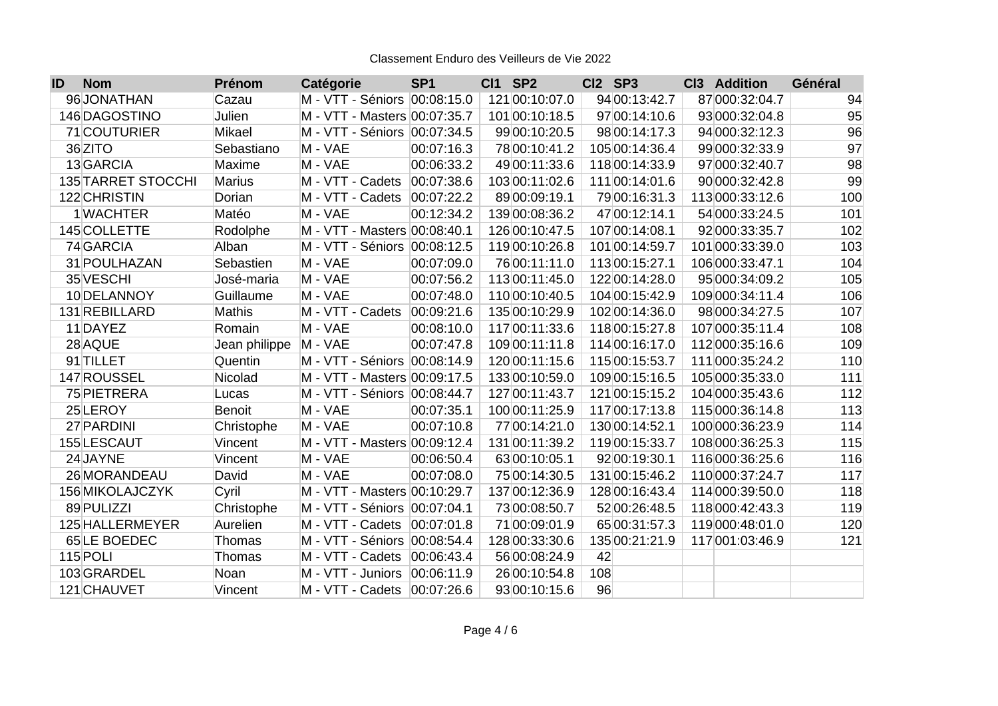| <b>Nom</b><br>ID          | Prénom        | Catégorie                     | <b>SP1</b> | <b>CI1 SP2</b> | Cl2 SP3        | <b>Addition</b><br>C <sub>13</sub> | Général |
|---------------------------|---------------|-------------------------------|------------|----------------|----------------|------------------------------------|---------|
| 96JONATHAN                | Cazau         | M - VTT - Séniors 00:08:15.0  |            | 121 00:10:07.0 | 94 00:13:42.7  | 87 000:32:04.7                     | 94      |
| 146 DAGOSTINO             | Julien        | M - VTT - Masters 00:07:35.7  |            | 101 00:10:18.5 | 97 00:14:10.6  | 93 000:32:04.8                     | 95      |
| 71 COUTURIER              | Mikael        | M - VTT - Séniors 00:07:34.5  |            | 99 00:10:20.5  | 98 00:14:17.3  | 94 000:32:12.3                     | 96      |
| 36 ZITO                   | Sebastiano    | M - VAE                       | 00:07:16.3 | 78 00:10:41.2  | 105 00:14:36.4 | 99 000:32:33.9                     | 97      |
| 13 GARCIA                 | <b>Maxime</b> | M - VAE                       | 00:06:33.2 | 49 00:11:33.6  | 118 00:14:33.9 | 97 000:32:40.7                     | 98      |
| <b>135 TARRET STOCCHI</b> | <b>Marius</b> | M - VTT - Cadets              | 00:07:38.6 | 103 00:11:02.6 | 111 00:14:01.6 | 90 000:32:42.8                     | 99      |
| 122 CHRISTIN              | Dorian        | M - VTT - Cadets              | 00:07:22.2 | 89 00:09:19.1  | 79 00:16:31.3  | 113 000:33:12.6                    | 100     |
| 1WACHTER                  | Matéo         | M - VAE                       | 00:12:34.2 | 139 00:08:36.2 | 47 00:12:14.1  | 54 000:33:24.5                     | 101     |
| 145 COLLETTE              | Rodolphe      | M - VTT - Masters 00:08:40.1  |            | 126 00:10:47.5 | 107 00:14:08.1 | 92 000:33:35.7                     | 102     |
| 74 GARCIA                 | Alban         | M - VTT - Séniors 00:08:12.5  |            | 119 00:10:26.8 | 101 00:14:59.7 | 101 000:33:39.0                    | 103     |
| 31 POULHAZAN              | Sebastien     | M - VAE                       | 00:07:09.0 | 76 00:11:11.0  | 113 00:15:27.1 | 106 000:33:47.1                    | 104     |
| 35 VESCHI                 | José-maria    | M - VAE                       | 00:07:56.2 | 113 00:11:45.0 | 122 00:14:28.0 | 95 000:34:09.2                     | 105     |
| 10 DELANNOY               | Guillaume     | M - VAE                       | 00:07:48.0 | 110 00:10:40.5 | 104 00:15:42.9 | 109 000:34:11.4                    | 106     |
| 131 REBILLARD             | <b>Mathis</b> | M - VTT - Cadets              | 00:09:21.6 | 135 00:10:29.9 | 102 00:14:36.0 | 98 000:34:27.5                     | 107     |
| 11 DAYEZ                  | Romain        | M - VAE                       | 00:08:10.0 | 117 00:11:33.6 | 118 00:15:27.8 | 107 000:35:11.4                    | 108     |
| 28 AQUE                   | Jean philippe | M - VAE                       | 00:07:47.8 | 109 00:11:11.8 | 114 00:16:17.0 | 112 000:35:16.6                    | 109     |
| 91 TILLET                 | Quentin       | M - VTT - Séniors  00:08:14.9 |            | 120 00:11:15.6 | 115 00:15:53.7 | 111 000:35:24.2                    | 110     |
| 147 ROUSSEL               | Nicolad       | M - VTT - Masters 00:09:17.5  |            | 133 00:10:59.0 | 109 00:15:16.5 | 105 000:35:33.0                    | 111     |
| 75 PIETRERA               | Lucas         | M - VTT - Séniors 00:08:44.7  |            | 127 00:11:43.7 | 121 00:15:15.2 | 104 000:35:43.6                    | 112     |
| 25 LEROY                  | <b>Benoit</b> | M - VAE                       | 00:07:35.1 | 100 00:11:25.9 | 117 00:17:13.8 | 115 000:36:14.8                    | 113     |
| 27 PARDINI                | Christophe    | M - VAE                       | 00:07:10.8 | 77 00:14:21.0  | 130 00:14:52.1 | 100 000:36:23.9                    | 114     |
| 155 LESCAUT               | Vincent       | M - VTT - Masters 00:09:12.4  |            | 131 00:11:39.2 | 119 00:15:33.7 | 108 000:36:25.3                    | 115     |
| 24 JAYNE                  | Vincent       | M - VAE                       | 00:06:50.4 | 63 00:10:05.1  | 92 00:19:30.1  | 116 000:36:25.6                    | 116     |
| 26 MORANDEAU              | David         | M - VAE                       | 00:07:08.0 | 75 00:14:30.5  | 131 00:15:46.2 | 110 000:37:24.7                    | 117     |
| 156 MIKOLAJCZYK           | Cyril         | M - VTT - Masters 00:10:29.7  |            | 137 00:12:36.9 | 128 00:16:43.4 | 114 000:39:50.0                    | 118     |
| 89 PULIZZI                | Christophe    | M - VTT - Séniors  00:07:04.1 |            | 73 00:08:50.7  | 52 00:26:48.5  | 118 000:42:43.3                    | 119     |
| 125 HALLERMEYER           | Aurelien      | M - VTT - Cadets              | 00:07:01.8 | 71 00:09:01.9  | 65 00:31:57.3  | 119 000:48:01.0                    | 120     |
| 65LE BOEDEC               | <b>Thomas</b> | M - VTT - Séniors 00:08:54.4  |            | 128 00:33:30.6 | 135 00:21:21.9 | 117 001:03:46.9                    | 121     |
| 115 POLI                  | Thomas        | M - VTT - Cadets              | 00:06:43.4 | 56 00:08:24.9  | 42             |                                    |         |
| 103 GRARDEL               | Noan          | M - VTT - Juniors             | 00:06:11.9 | 26 00:10:54.8  | 108            |                                    |         |
| 121 CHAUVET               | Vincent       | M - VTT - Cadets              | 00:07:26.6 | 93 00:10:15.6  | 96             |                                    |         |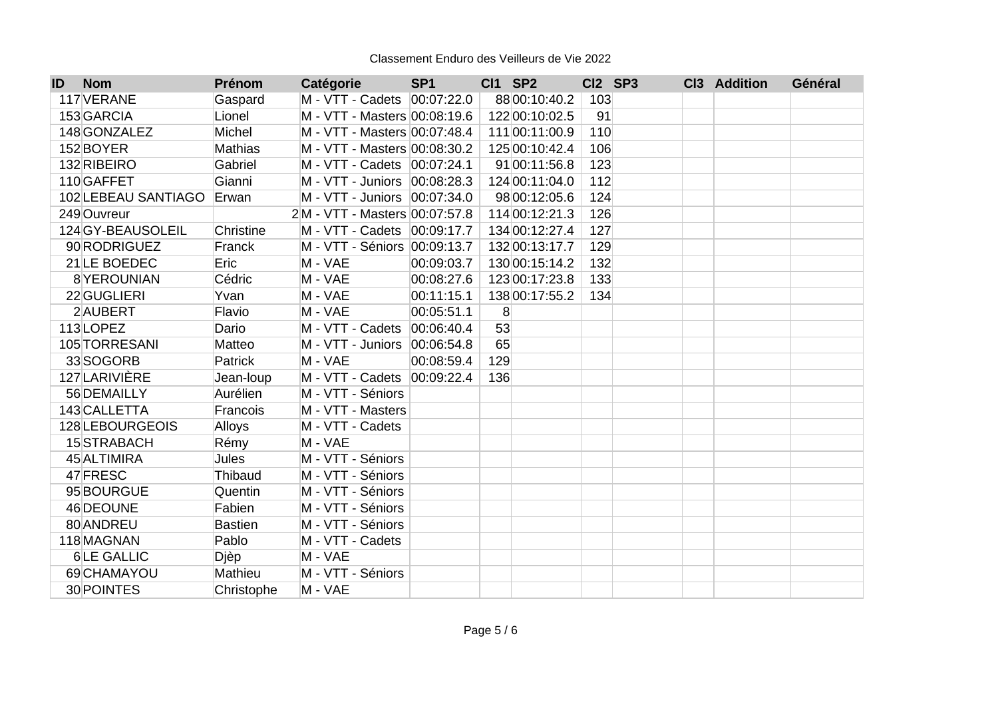| ID | <b>Nom</b>          | Prénom         | Catégorie                     | SP <sub>1</sub> | <b>CI1 SP2</b> | CI2 SP3 | Cl3 Addition | Général |
|----|---------------------|----------------|-------------------------------|-----------------|----------------|---------|--------------|---------|
|    | 117 VERANE          | Gaspard        | M - VTT - Cadets   00:07:22.0 |                 | 88 00:10:40.2  | 103     |              |         |
|    | 153 GARCIA          | Lionel         | M - VTT - Masters 00:08:19.6  |                 | 122 00:10:02.5 | 91      |              |         |
|    | 148 GONZALEZ        | Michel         | M - VTT - Masters 00:07:48.4  |                 | 111 00:11:00.9 | 110     |              |         |
|    | 152 BOYER           | <b>Mathias</b> | M - VTT - Masters 00:08:30.2  |                 | 125 00:10:42.4 | 106     |              |         |
|    | 132 RIBEIRO         | Gabriel        | M - VTT - Cadets 00:07:24.1   |                 | 91 00:11:56.8  | 123     |              |         |
|    | 110 GAFFET          | Gianni         | M - VTT - Juniors 00:08:28.3  |                 | 124 00:11:04.0 | 112     |              |         |
|    | 102 LEBEAU SANTIAGO | Erwan          | M - VTT - Juniors 00:07:34.0  |                 | 98 00:12:05.6  | 124     |              |         |
|    | 249 Ouvreur         |                | 2M - VTT - Masters 00:07:57.8 |                 | 114 00:12:21.3 | 126     |              |         |
|    | 124 GY-BEAUSOLEIL   | Christine      | M - VTT - Cadets   00:09:17.7 |                 | 134 00:12:27.4 | 127     |              |         |
|    | 90 RODRIGUEZ        | Franck         | M - VTT - Séniors 00:09:13.7  |                 | 132 00:13:17.7 | 129     |              |         |
|    | 21 LE BOEDEC        | Eric           | M - VAE                       | 00:09:03.7      | 130 00:15:14.2 | 132     |              |         |
|    | 8YEROUNIAN          | Cédric         | M - VAE                       | 00:08:27.6      | 123 00:17:23.8 | 133     |              |         |
|    | 22 GUGLIERI         | Yvan           | M - VAE                       | 00:11:15.1      | 138 00:17:55.2 | 134     |              |         |
|    | 2 AUBERT            | Flavio         | M - VAE                       | 00:05:51.1      | 8              |         |              |         |
|    | 113LOPEZ            | Dario          | M - VTT - Cadets              | 00:06:40.4      | 53             |         |              |         |
|    | 105 TORRESANI       | Matteo         | M - VTT - Juniors 00:06:54.8  |                 | 65             |         |              |         |
|    | 33 SOGORB           | Patrick        | M - VAE                       | 00:08:59.4      | 129            |         |              |         |
|    | 127LARIVIÈRE        | Jean-loup      | M - VTT - Cadets 00:09:22.4   |                 | 136            |         |              |         |
|    | 56 DEMAILLY         | Aurélien       | M - VTT - Séniors             |                 |                |         |              |         |
|    | 143 CALLETTA        | Francois       | M - VTT - Masters             |                 |                |         |              |         |
|    | 128 LEBOURGEOIS     | Alloys         | M - VTT - Cadets              |                 |                |         |              |         |
|    | 15 STRABACH         | Rémy           | M - VAE                       |                 |                |         |              |         |
|    | 45 ALTIMIRA         | <b>Jules</b>   | M - VTT - Séniors             |                 |                |         |              |         |
|    | 47 FRESC            | Thibaud        | M - VTT - Séniors             |                 |                |         |              |         |
|    | 95 BOURGUE          | Quentin        | M - VTT - Séniors             |                 |                |         |              |         |
|    | 46 DEOUNE           | Fabien         | M - VTT - Séniors             |                 |                |         |              |         |
|    | 80 ANDREU           | <b>Bastien</b> | M - VTT - Séniors             |                 |                |         |              |         |
|    | 118 MAGNAN          | Pablo          | M - VTT - Cadets              |                 |                |         |              |         |
|    | 6LE GALLIC          | Djèp           | M - VAE                       |                 |                |         |              |         |
|    | 69 CHAMAYOU         | Mathieu        | M - VTT - Séniors             |                 |                |         |              |         |
|    | 30 POINTES          | Christophe     | M - VAE                       |                 |                |         |              |         |